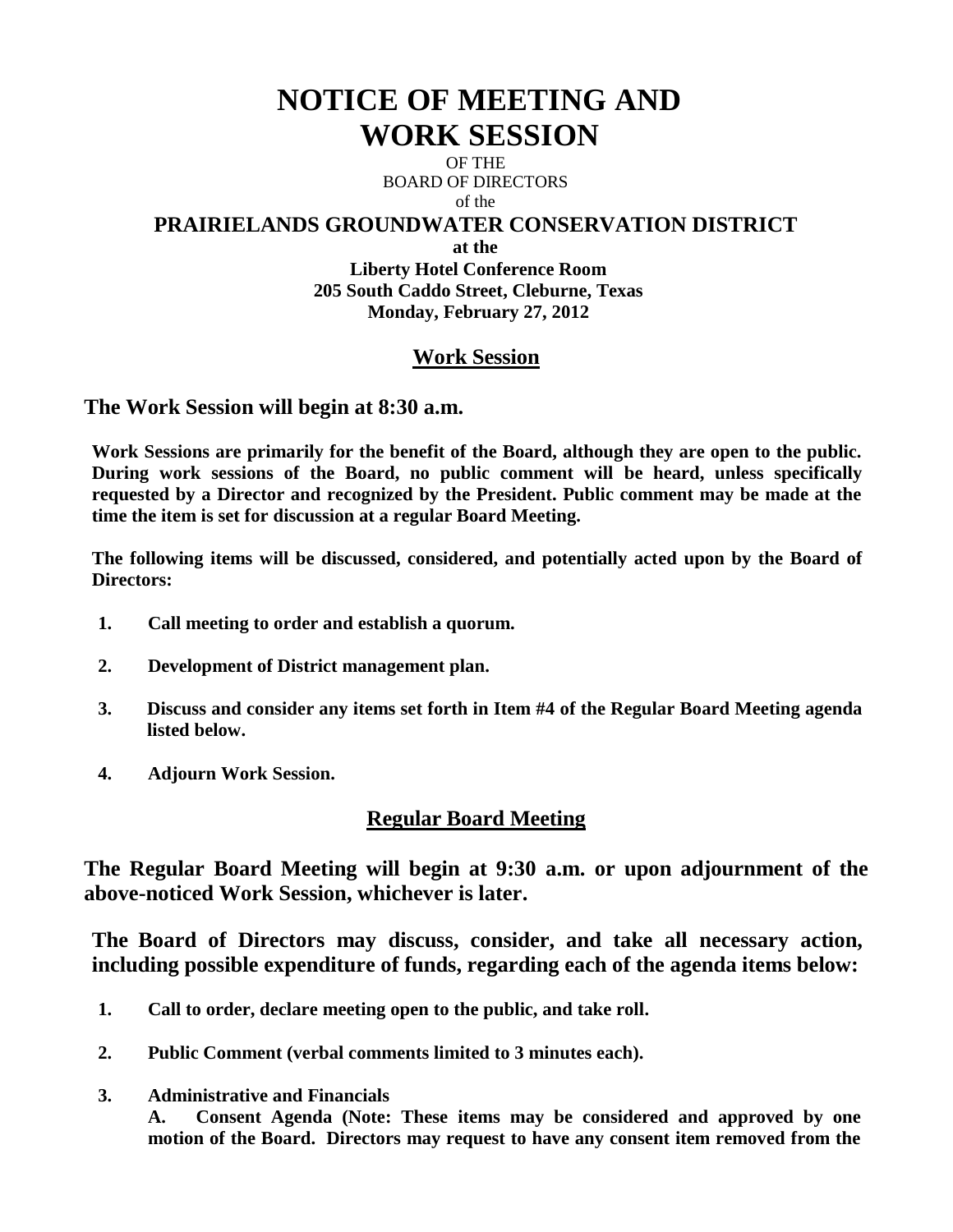# **NOTICE OF MEETING AND WORK SESSION**

OF THE BOARD OF DIRECTORS of the

#### **PRAIRIELANDS GROUNDWATER CONSERVATION DISTRICT**

**at the**

**Liberty Hotel Conference Room 205 South Caddo Street, Cleburne, Texas Monday, February 27, 2012**

# **Work Session**

**The Work Session will begin at 8:30 a.m.**

**Work Sessions are primarily for the benefit of the Board, although they are open to the public. During work sessions of the Board, no public comment will be heard, unless specifically requested by a Director and recognized by the President. Public comment may be made at the time the item is set for discussion at a regular Board Meeting.**

**The following items will be discussed, considered, and potentially acted upon by the Board of Directors:** 

- **1. Call meeting to order and establish a quorum.**
- **2. Development of District management plan.**
- **3. Discuss and consider any items set forth in Item #4 of the Regular Board Meeting agenda listed below.**
- **4. Adjourn Work Session.**

# **Regular Board Meeting**

**The Regular Board Meeting will begin at 9:30 a.m. or upon adjournment of the above-noticed Work Session, whichever is later.**

**The Board of Directors may discuss, consider, and take all necessary action, including possible expenditure of funds, regarding each of the agenda items below:**

- **1. Call to order, declare meeting open to the public, and take roll.**
- **2. Public Comment (verbal comments limited to 3 minutes each).**
- **3. Administrative and Financials**

**A. Consent Agenda (Note: These items may be considered and approved by one motion of the Board. Directors may request to have any consent item removed from the**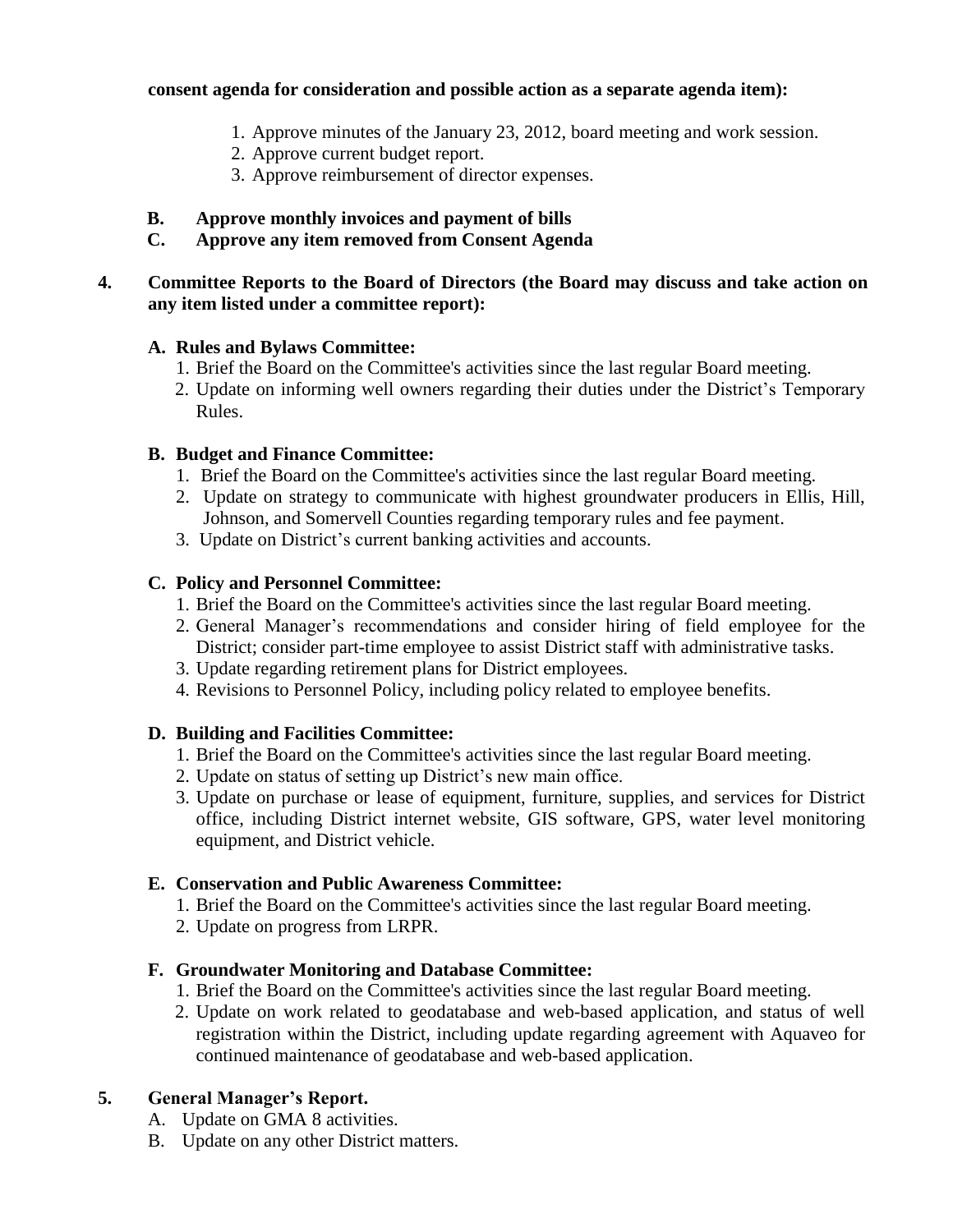#### **consent agenda for consideration and possible action as a separate agenda item):**

- 1. Approve minutes of the January 23, 2012, board meeting and work session.
- 2. Approve current budget report.
- 3. Approve reimbursement of director expenses.

#### **B. Approve monthly invoices and payment of bills**

#### **C. Approve any item removed from Consent Agenda**

#### **4. Committee Reports to the Board of Directors (the Board may discuss and take action on any item listed under a committee report):**

#### **A. Rules and Bylaws Committee:**

- 1. Brief the Board on the Committee's activities since the last regular Board meeting.
- 2. Update on informing well owners regarding their duties under the District's Temporary Rules.

#### **B. Budget and Finance Committee:**

- 1. Brief the Board on the Committee's activities since the last regular Board meeting.
- 2. Update on strategy to communicate with highest groundwater producers in Ellis, Hill, Johnson, and Somervell Counties regarding temporary rules and fee payment.
- 3. Update on District's current banking activities and accounts.

### **C. Policy and Personnel Committee:**

- 1. Brief the Board on the Committee's activities since the last regular Board meeting.
- 2. General Manager's recommendations and consider hiring of field employee for the District; consider part-time employee to assist District staff with administrative tasks.
- 3. Update regarding retirement plans for District employees.
- 4. Revisions to Personnel Policy, including policy related to employee benefits.

#### **D. Building and Facilities Committee:**

- 1. Brief the Board on the Committee's activities since the last regular Board meeting.
- 2. Update on status of setting up District's new main office.
- 3. Update on purchase or lease of equipment, furniture, supplies, and services for District office, including District internet website, GIS software, GPS, water level monitoring equipment, and District vehicle.

#### **E. Conservation and Public Awareness Committee:**

- 1. Brief the Board on the Committee's activities since the last regular Board meeting.
- 2. Update on progress from LRPR.

#### **F. Groundwater Monitoring and Database Committee:**

- 1. Brief the Board on the Committee's activities since the last regular Board meeting.
- 2. Update on work related to geodatabase and web-based application, and status of well registration within the District, including update regarding agreement with Aquaveo for continued maintenance of geodatabase and web-based application.

# **5. General Manager's Report.**

- A. Update on GMA 8 activities.
- B. Update on any other District matters.